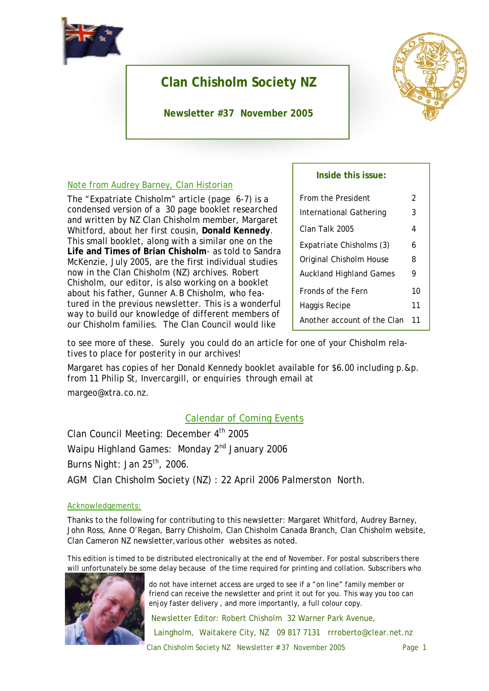

# **Clan Chisholm Society NZ**

**Newsletter #37 November 2005**



# Note from Audrey Barney, Clan Historian

The "Expatriate Chisholm" article (page 6-7) is a condensed version of a 30 page booklet researched and written by NZ Clan Chisholm member, Margaret Whitford, about her first cousin, **Donald Kennedy**. This small booklet, along with a similar one on the **Life and Times of Brian Chisholm**- as told to Sandra McKenzie, July 2005, are the first individual studies now in the Clan Chisholm (NZ) archives. Robert Chisholm, our editor, is also working on a booklet about his father, Gunner A.B Chisholm, who featured in the previous newsletter. This is a wonderful way to build our knowledge of different members of our Chisholm families. The Clan Council would like

### **Inside this issue:**

| From the President             | 2 |  |
|--------------------------------|---|--|
| International Gathering        | 3 |  |
| Clan Talk 2005                 | 4 |  |
| Expatriate Chisholms (3)       | 6 |  |
| Original Chisholm House        |   |  |
| <b>Auckland Highland Games</b> |   |  |
| Fronds of the Fern             |   |  |
| Haggis Recipe                  |   |  |
| Another account of the Clan    |   |  |

to see more of these. Surely you could do an article for one of your Chisholm relatives to place for posterity in our archives!

Margaret has copies of her Donald Kennedy booklet available for \$6.00 including p.&p. from 11 Philip St, Invercargill, or enquiries through email at margeo@xtra.co.nz.

# Calendar of Coming Events

Clan Council Meeting: December 4<sup>th</sup> 2005 Waipu Highland Games: Monday 2<sup>nd</sup> January 2006 Burns Night: Jan  $25<sup>th</sup>$ , 2006. AGM Clan Chisholm Society (NZ) : 22 April 2006 Palmerston North.

### Acknowledgements:

Thanks to the following for contributing to this newsletter: Margaret Whitford, Audrey Barney, John Ross, Anne O'Regan, Barry Chisholm, Clan Chisholm Canada Branch, Clan Chisholm website, Clan Cameron NZ newsletter,various other websites as noted.

This edition is timed to be distributed electronically at the end of November. For postal subscribers there will unfortunately be some delay because of the time required for printing and collation. Subscribers who



do not have internet access are urged to see if a "on line" family member or friend can receive the newsletter and print it out for you. This way you too can enjoy faster delivery , and more importantly, a full colour copy.

Newsletter Editor: Robert Chisholm 32 Warner Park Avenue, Laingholm, Waitakere City, NZ 09 817 7131 rrroberto@clear.net.nz

Clan Chisholm Society NZ Newsletter # 37 November 2005 Page 1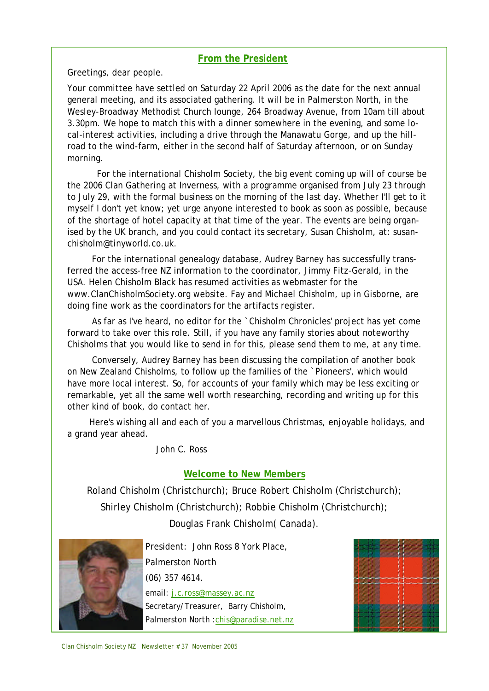# **From the President**

Greetings, dear people.

Your committee have settled on Saturday 22 April 2006 as the date for the next annual general meeting, and its associated gathering. It will be in Palmerston North, in the Wesley-Broadway Methodist Church lounge, 264 Broadway Avenue, from 10am till about 3.30pm. We hope to match this with a dinner somewhere in the evening, and some local-interest activities, including a drive through the Manawatu Gorge, and up the hillroad to the wind-farm, either in the second half of Saturday afternoon, or on Sunday morning.

For the international Chisholm Society, the big event coming up will of course be the 2006 Clan Gathering at Inverness, with a programme organised from July 23 through to July 29, with the formal business on the morning of the last day. Whether I'll get to it myself I don't yet know; yet urge anyone interested to book as soon as possible, because of the shortage of hotel capacity at that time of the year. The events are being organised by the UK branch, and you could contact its secretary, Susan Chisholm, at: susanchisholm@tinyworld.co.uk.

For the international genealogy database, Audrey Barney has successfully transferred the access-free NZ information to the coordinator, Jimmy Fitz-Gerald, in the USA. Helen Chisholm Black has resumed activities as webmaster for the www.ClanChisholmSociety.org website. Fay and Michael Chisholm, up in Gisborne, are doing fine work as the coordinators for the artifacts register.

As far as I've heard, no editor for the `Chisholm Chronicles' project has yet come forward to take over this role. Still, if you have any family stories about noteworthy Chisholms that you would like to send in for this, please send them to me, at any time.

Conversely, Audrey Barney has been discussing the compilation of another book on New Zealand Chisholms, to follow up the families of the `Pioneers', which would have more local interest. So, for accounts of your family which may be less exciting or remarkable, yet all the same well worth researching, recording and writing up for this other kind of book, do contact her.

Here's wishing all and each of you a marvellous Christmas, enjoyable holidays, and a grand year ahead.

John C. Ross

# **Welcome to New Members**

Roland Chisholm (Christchurch); Bruce Robert Chisholm (Christchurch); Shirley Chisholm (Christchurch); Robbie Chisholm (Christchurch); Douglas Frank Chisholm( Canada).



President: John Ross 8 York Place, Palmerston North (06) 357 4614. email: j.c.ross@massey.ac.nz Secretary/Treasurer, Barry Chisholm, Palmerston North :chis@paradise.net.nz

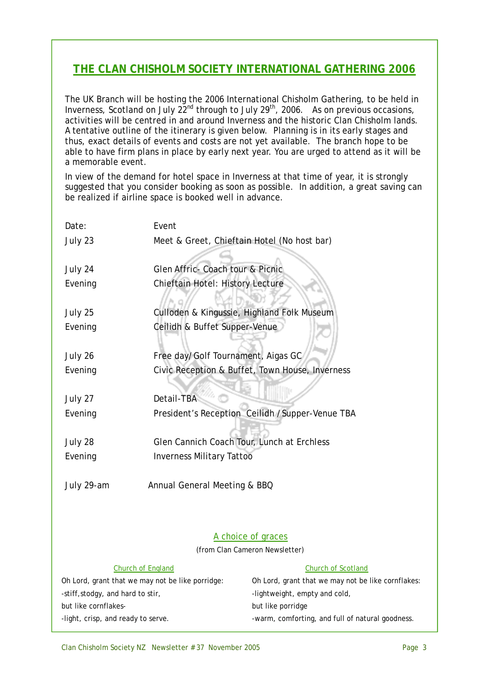# **THE CLAN CHISHOLM SOCIETY INTERNATIONAL GATHERING 2006**

The UK Branch will be hosting the 2006 International Chisholm Gathering, to be held in Inverness, Scotland on July  $22^{nd}$  through to July  $29^{th}$ , 2006. As on previous occasions, activities will be centred in and around Inverness and the historic Clan Chisholm lands. A tentative outline of the itinerary is given below. Planning is in its early stages and thus, exact details of events and costs are not yet available. The branch hope to be able to have firm plans in place by early next year. You are urged to attend as it will be a memorable event.

In view of the demand for hotel space in Inverness at that time of year, it is strongly suggested that you consider booking as soon as possible. In addition, a great saving can be realized if airline space is booked well in advance.

| Date:                                            | Event                                       |                                                    |  |
|--------------------------------------------------|---------------------------------------------|----------------------------------------------------|--|
| July 23                                          | Meet & Greet, Chieftain Hotel (No host bar) |                                                    |  |
|                                                  |                                             |                                                    |  |
| July 24                                          | Glen Affric- Coach tour & Picnic            |                                                    |  |
| Evening                                          | Chieftain Hotel: History Lecture            |                                                    |  |
|                                                  |                                             |                                                    |  |
| July 25                                          | Culloden & Kingussie, Highland Folk Museum  |                                                    |  |
| Evening                                          | Ceilidh & Buffet Supper-Venue               |                                                    |  |
|                                                  |                                             |                                                    |  |
| July 26                                          | Free day/Golf Tournament, Aigas GC          |                                                    |  |
| Evening                                          |                                             | Civic Reception & Buffet, Town House, Inverness    |  |
|                                                  |                                             |                                                    |  |
| July 27                                          | Detail-TBA                                  |                                                    |  |
| Evening                                          |                                             | President's Reception Ceilidh / Supper-Venue TBA   |  |
|                                                  |                                             |                                                    |  |
| July 28                                          | Glen Cannich Coach Tour, Lunch at Erchless  |                                                    |  |
| Evening                                          | <b>Inverness Military Tattoo</b>            |                                                    |  |
|                                                  |                                             |                                                    |  |
| Annual General Meeting & BBQ<br>July 29-am       |                                             |                                                    |  |
|                                                  |                                             |                                                    |  |
|                                                  |                                             |                                                    |  |
| A choice of graces                               |                                             |                                                    |  |
|                                                  |                                             | (from Clan Cameron Newsletter)                     |  |
| Church of England                                |                                             | Church of Scotland                                 |  |
| Oh Lord, grant that we may not be like porridge: |                                             | Oh Lord, grant that we may not be like cornflakes: |  |
| -stiff, stodgy, and hard to stir,                |                                             | -lightweight, empty and cold,                      |  |
| but like cornflakes-                             |                                             | but like porridge                                  |  |
| -light, crisp, and ready to serve.               |                                             | -warm, comforting, and full of natural goodness.   |  |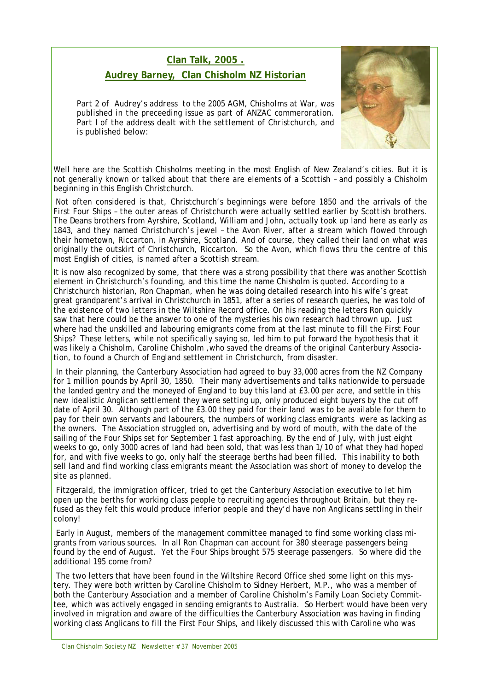# **Clan Talk, 2005 . Audrey Barney, Clan Chisholm NZ Historian**

*Part 2 of Audrey's address to the 2005 AGM, Chisholms at War, was published in the preceeding issue as part of ANZAC commeroration.*  Part I of the address dealt with the settlement of Christchurch, and *is published below:*



Well here are the Scottish Chisholms meeting in the most English of New Zealand's cities. But it is not generally known or talked about that there are elements of a Scottish – and possibly a Chisholm beginning in this English Christchurch.

Not often considered is that, Christchurch's beginnings were before 1850 and the arrivals of the First Four Ships – the outer areas of Christchurch were actually settled earlier by Scottish brothers. The Deans brothers from Ayrshire, Scotland, William and John, actually took up land here as early as 1843, and they named Christchurch's jewel – the Avon River, after a stream which flowed through their hometown, Riccarton, in Ayrshire, Scotland. And of course, they called their land on what was originally the outskirt of Christchurch, Riccarton. So the Avon, which flows thru the centre of this most English of cities, is named after a Scottish stream.

It is now also recognized by some, that there was a strong possibility that there was another Scottish element in Christchurch's founding, and this time the name Chisholm is quoted. According to a Christchurch historian, Ron Chapman, when he was doing detailed research into his wife's great great grandparent's arrival in Christchurch in 1851, after a series of research queries, he was told of the existence of two letters in the Wiltshire Record office. On his reading the letters Ron quickly saw that here could be the answer to one of the mysteries his own research had thrown up. Just where had the unskilled and labouring emigrants come from at the last minute to fill the First Four Ships? These letters, while not specifically saying so, led him to put forward the hypothesis that it was likely a Chisholm, Caroline Chisholm ,who saved the dreams of the original Canterbury Association, to found a Church of England settlement in Christchurch, from disaster.

In their planning, the Canterbury Association had agreed to buy 33,000 acres from the NZ Company for 1 million pounds by April 30, 1850. Their many advertisements and talks nationwide to persuade the landed gentry and the moneyed of England to buy this land at £3.00 per acre, and settle in this new idealistic Anglican settlement they were setting up, only produced eight buyers by the cut off date of April 30. Although part of the £3.00 they paid for their land was to be available for them to pay for their own servants and labourers, the numbers of working class emigrants were as lacking as the owners. The Association struggled on, advertising and by word of mouth, with the date of the sailing of the Four Ships set for September 1 fast approaching. By the end of July, with just eight weeks to go, only 3000 acres of land had been sold, that was less than 1/10 of what they had hoped for, and with five weeks to go, only half the steerage berths had been filled. This inability to both sell land and find working class emigrants meant the Association was short of money to develop the site as planned.

Fitzgerald, the immigration officer, tried to get the Canterbury Association executive to let him open up the berths for working class people to recruiting agencies throughout Britain, but they refused as they felt this would produce inferior people and they'd have non Anglicans settling in their colony!

Early in August, members of the management committee managed to find some working class migrants from various sources. In all Ron Chapman can account for 380 steerage passengers being found by the end of August. Yet the Four Ships brought 575 steerage passengers. So where did the additional 195 come from?

The two letters that have been found in the Wiltshire Record Office shed some light on this mystery. They were both written by Caroline Chisholm to Sidney Herbert, M.P., who was a member of both the Canterbury Association and a member of Caroline Chisholm's Family Loan Society Committee, which was actively engaged in sending emigrants to Australia. So Herbert would have been very involved in migration and aware of the difficulties the Canterbury Association was having in finding working class Anglicans to fill the First Four Ships, and likely discussed this with Caroline who was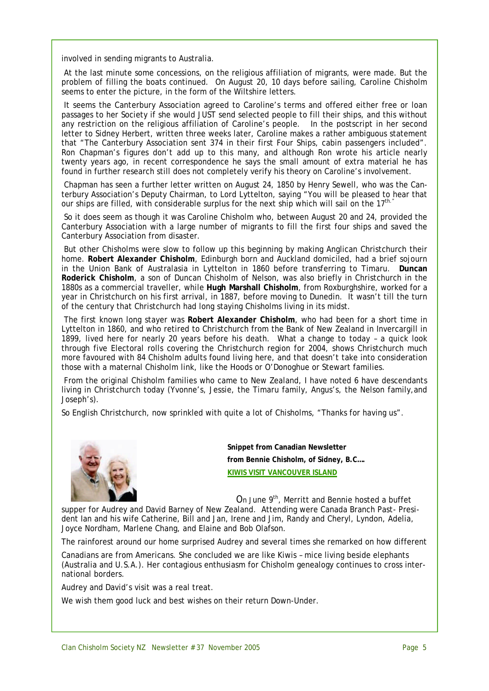involved in sending migrants to Australia.

At the last minute some concessions, on the religious affiliation of migrants, were made. But the problem of filling the boats continued. On August 20, 10 days before sailing, Caroline Chisholm seems to enter the picture, in the form of the Wiltshire letters.

It seems the Canterbury Association agreed to Caroline's terms and offered either free or loan passages to her Society if she would JUST send selected people to fill their ships, and this without any restriction on the religious affiliation of Caroline's people. In the postscript in her second letter to Sidney Herbert, written three weeks later, Caroline makes a rather ambiguous statement that "The Canterbury Association sent 374 in their first Four Ships, cabin passengers included". Ron Chapman's figures don't add up to this many, and although Ron wrote his article nearly twenty years ago, in recent correspondence he says the small amount of extra material he has found in further research still does not completely verify his theory on Caroline's involvement.

Chapman has seen a further letter written on August 24, 1850 by Henry Sewell, who was the Canterbury Association's Deputy Chairman, to Lord Lyttelton, saying "You will be pleased to hear that our ships are filled, with considerable surplus for the next ship which will sail on the  $17<sup>th</sup>$ ."

So it does seem as though it was Caroline Chisholm who, between August 20 and 24, provided the Canterbury Association with a large number of migrants to fill the first four ships and saved the Canterbury Association from disaster.

But other Chisholms were slow to follow up this beginning by making Anglican Christchurch their home. **Robert Alexander Chisholm**, Edinburgh born and Auckland domiciled, had a brief sojourn in the Union Bank of Australasia in Lyttelton in 1860 before transferring to Timaru. **Duncan Roderick Chisholm**, a son of Duncan Chisholm of Nelson, was also briefly in Christchurch in the 1880s as a commercial traveller, while **Hugh Marshall Chisholm**, from Roxburghshire, worked for a year in Christchurch on his first arrival, in 1887, before moving to Dunedin. It wasn't till the turn of the century that Christchurch had long staying Chisholms living in its midst.

The first known long stayer was **Robert Alexander Chisholm**, who had been for a short time in Lyttelton in 1860, and who retired to Christchurch from the Bank of New Zealand in Invercargill in 1899, lived here for nearly 20 years before his death. What a change to today – a quick look through five Electoral rolls covering the Christchurch region for 2004, shows Christchurch much more favoured with 84 Chisholm adults found living here, and that doesn't take into consideration those with a maternal Chisholm link, like the Hoods or O'Donoghue or Stewart families.

From the original Chisholm families who came to New Zealand, I have noted 6 have descendants living in Christchurch today (Yvonne's, Jessie, the Timaru family, Angus's, the Nelson family,and Joseph's).

So English Christchurch, now sprinkled with quite a lot of Chisholms, "Thanks for having us".



**Snippet from Canadian Newsletter from Bennie Chisholm, of Sidney, B.C…. KIWIS VISIT VANCOUVER ISLAND**

On June 9<sup>th</sup>, Merritt and Bennie hosted a buffet

supper for Audrey and David Barney of New Zealand. Attending were Canada Branch Past- President Ian and his wife Catherine, Bill and Jan, Irene and Jim, Randy and Cheryl, Lyndon, Adelia, Joyce Nordham, Marlene Chang, and Elaine and Bob Olafson.

The rainforest around our home surprised Audrey and several times she remarked on how different

Canadians are from Americans. She concluded we are like Kiwis – mice living beside elephants (Australia and U.S.A.). Her contagious enthusiasm for Chisholm genealogy continues to cross international borders.

Audrey and David's visit was a real treat.

We wish them good luck and best wishes on their return Down-Under.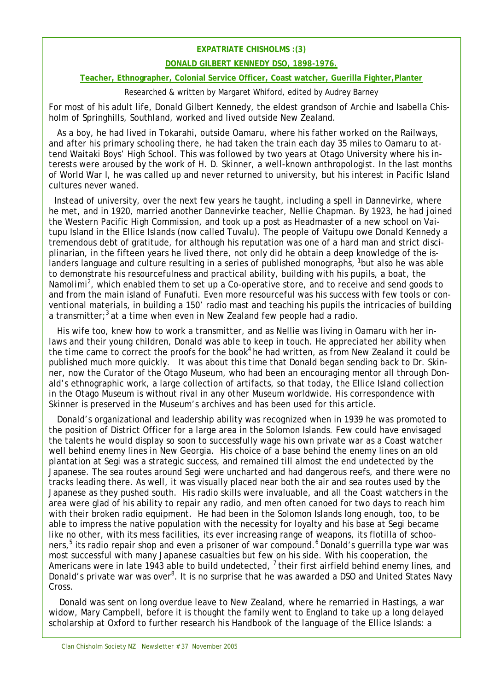#### **EXPATRIATE CHISHOLMS :(3)**

#### **DONALD GILBERT KENNEDY DSO, 1898-1976.**

#### **Teacher, Ethnographer, Colonial Service Officer, Coast watcher, Guerilla Fighter,Planter**

#### Researched & written by Margaret Whiford, edited by Audrey Barney

For most of his adult life, Donald Gilbert Kennedy, the eldest grandson of Archie and Isabella Chisholm of Springhills, Southland, worked and lived outside New Zealand.

As a boy, he had lived in Tokarahi, outside Oamaru, where his father worked on the Railways, and after his primary schooling there, he had taken the train each day 35 miles to Oamaru to attend Waitaki Boys' High School. This was followed by two years at Otago University where his interests were aroused by the work of H. D. Skinner, a well-known anthropologist. In the last months of World War I, he was called up and never returned to university, but his interest in Pacific Island cultures never waned.

Instead of university, over the next few years he taught, including a spell in Dannevirke, where he met, and in 1920, married another Dannevirke teacher, Nellie Chapman. By 1923, he had joined the Western Pacific High Commission, and took up a post as Headmaster of a new school on Vaitupu Island in the Ellice Islands (now called Tuvalu). The people of Vaitupu owe Donald Kennedy a tremendous debt of gratitude, for although his reputation was one of a hard man and strict disciplinarian, in the fifteen years he lived there, not only did he obtain a deep knowledge of the islanders language and culture resulting in a series of published monographs,  $1$  but also he was able to demonstrate his resourcefulness and practical ability, building with his pupils, a boat, the *Namolimi<sup>2</sup>* , which enabled them to set up a Co-operative store, and to receive and send goods to and from the main island of Funafuti. Even more resourceful was his success with few tools or conventional materials, in building a 150' radio mast and teaching his pupils the intricacies of building a transmitter;<sup>3</sup> at a time when even in New Zealand few people had a radio.

His wife too, knew how to work a transmitter, and as Nellie was living in Oamaru with her inlaws and their young children, Donald was able to keep in touch. He appreciated her ability when the time came to correct the proofs for the book<sup>4</sup> he had written, as from New Zealand it could be published much more quickly. It was about this time that Donald began sending back to Dr. Skinner, now the Curator of the Otago Museum, who had been an encouraging mentor all through Donald's ethnographic work, a large collection of artifacts, so that today, the Ellice Island collection in the Otago Museum is without rival in any other Museum worldwide. His correspondence with Skinner is preserved in the Museum's archives and has been used for this article.

Donald's organizational and leadership ability was recognized when in 1939 he was promoted to the position of District Officer for a large area in the Solomon Islands. Few could have envisaged the talents he would display so soon to successfully wage his own private war as a Coast watcher well behind enemy lines in New Georgia. His choice of a base behind the enemy lines on an old plantation at Segi was a strategic success, and remained till almost the end undetected by the Japanese. The sea routes around Segi were uncharted and had dangerous reefs, and there were no tracks leading there. As well, it was visually placed near both the air and sea routes used by the Japanese as they pushed south. His radio skills were invaluable, and all the Coast watchers in the area were glad of his ability to repair any radio, and men often canoed for two days to reach him with their broken radio equipment. He had been in the Solomon Islands long enough, too, to be able to impress the native population with the necessity for loyalty and his base at Segi became like no other, with its mess facilities, its ever increasing range of weapons, its flotilla of schooners,<sup>5</sup> its radio repair shop and even a prisoner of war compound.<sup>6</sup> Donald's guerrilla type war was most successful with many Japanese casualties but few on his side. With his cooperation, the Americans were in late 1943 able to build undetected,  $^7$  their first airfield behind enemy lines, and Donald's private war was over<sup>8</sup>. It is no surprise that he was awarded a DSO and United States Navy Cross.

Donald was sent on long overdue leave to New Zealand, where he remarried in Hastings, a war widow, Mary Campbell, before it is thought the family went to England to take up a long delayed scholarship at Oxford to further research his *Handbook of the language of the Ellice Islands: a*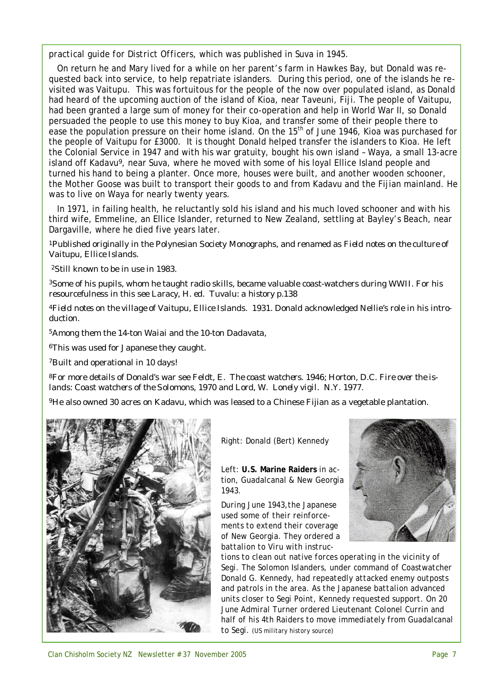*practical guide for District Officers,* which was published in Suva in 1945.

On return he and Mary lived for a while on her parent's farm in Hawkes Bay, but Donald was requested back into service, to help repatriate islanders. During this period, one of the islands he revisited was Vaitupu. This was fortuitous for the people of the now over populated island, as Donald had heard of the upcoming auction of the island of Kioa, near Taveuni, Fiji. The people of Vaitupu, had been granted a large sum of money for their co-operation and help in World War II, so Donald persuaded the people to use this money to buy Kioa, and transfer some of their people there to ease the population pressure on their home island. On the 15<sup>th</sup> of June 1946, Kioa was purchased for the people of Vaitupu for £3000. It is thought Donald helped transfer the islanders to Kioa. He left the Colonial Service in 1947 and with his war gratuity, bought his own island – Waya, a small 13-acre island off Kadavu<sup>9</sup>, near Suva, where he moved with some of his loyal Ellice Island people and turned his hand to being a planter. Once more, houses were built, and another wooden schooner, the *Mother Goose* was built to transport their goods to and from Kadavu and the Fijian mainland. He was to live on Waya for nearly twenty years.

In 1971, in failing health, he reluctantly sold his island and his much loved schooner and with his third wife, Emmeline, an Ellice Islander, returned to New Zealand, settling at Bayley's Beach, near Dargaville, where he died five years later.

<sup>1</sup>Published originally in the Polynesian Society Monographs, and renamed as *Field notes on the culture of Vaitupu, Ellice Islands.*

<sup>2</sup>Still known to be in use in 1983.

<sup>3</sup>Some of his pupils, whom he taught radio skills, became valuable coast-watchers during WWII. For his resourcefulness in this see *Laracy, H. ed. Tuvalu: a history p.138*

<sup>4</sup>*Field notes on* t*he village of Vaitupu*, *Ellice Islands*. 1931. Donald acknowledged Nellie's role in his introduction.

<sup>5</sup>Among them the 14-ton *Waiai* and the 10-ton *Dadavata*,

<sup>6</sup>This was used for Japanese they caught.

<sup>7</sup>Built and operational in 10 days!

8For more details of Donald's war see Feldt, E. *The coast watchers*. 1946; Horton, D.C. *Fire over the islands: Coast watchers of the Solomons,* 1970 and Lord, W. *Lonely vigil*. N.Y. 1977.

<sup>9</sup>He also owned 30 acres on Kadavu, which was leased to a Chinese Fijian as a vegetable plantation.



Right: Donald (Bert) Kennedy

Left: **U.S. Marine Raiders** in action, Guadalcanal & New Georgia 1943.

*During June 1943,the Japanese used some of their reinforcements to extend their coverage of New Georgia. They ordered a battalion to Viru with instruc-*



*tions to clean out native forces operating in the vicinity of Segi. The Solomon Islanders, under command of Coastwatcher Donald G. Kennedy, had repeatedly attacked enemy outposts and patrols in the area. As the Japanese battalion advanced units closer to Segi Point, Kennedy requested support. On 20 June Admiral Turner ordered Lieutenant Colonel Currin and half of his 4th Raiders to move immediately from Guadalcanal to Segi. (US military history source)*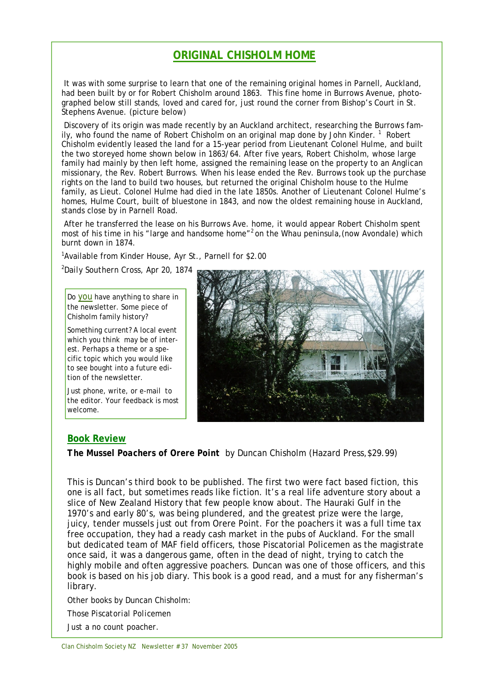# **ORIGINAL CHISHOLM HOME**

It was with some surprise to learn that one of the remaining original homes in Parnell, Auckland, had been built by or for Robert Chisholm around 1863. This fine home in Burrows Avenue, photographed below still stands, loved and cared for, just round the corner from Bishop's Court in St. Stephens Avenue. (picture below)

Discovery of its origin was made recently by an Auckland architect, researching the Burrows family, who found the name of Robert Chisholm on an original map done by John Kinder.<sup>1</sup> Robert Chisholm evidently leased the land for a 15-year period from Lieutenant Colonel Hulme, and built the two storeyed home shown below in 1863/64. After five years, Robert Chisholm, whose large family had mainly by then left home, assigned the remaining lease on the property to an Anglican missionary, the Rev. Robert Burrows. When his lease ended the Rev. Burrows took up the purchase rights on the land to build two houses, but returned the original Chisholm house to the Hulme family, as Lieut. Colonel Hulme had died in the late 1850s. Another of Lieutenant Colonel Hulme's homes, Hulme Court, built of bluestone in 1843, and now the oldest remaining house in Auckland, stands close by in Parnell Road.

After he transferred the lease on his Burrows Ave. home, it would appear Robert Chisholm spent most of his time in his "large and handsome home"<sup>2</sup> on the Whau peninsula, (now Avondale) which burnt down in 1874.

<sup>1</sup> Available from Kinder House, Ayr St., Parnell for \$2.00

<sup>2</sup>*Daily Southern Cross*, Apr 20, 1874

Do you have anything to share in the newsletter. Some piece of Chisholm family history?

Something current? A local event which you think may be of interest. Perhaps a theme or a specific topic which you would like to see bought into a future edition of the newsletter.

Just phone, write, or e-mail to the editor. Your feedback is most welcome.



#### **Book Review**

*The Mussel Poachers of Orere Point* by Duncan Chisholm (Hazard Press,\$29.99)

This is Duncan's third book to be published. The first two were fact based fiction, this one is all fact, but sometimes reads like fiction. It's a real life adventure story about a slice of New Zealand History that few people know about. The Hauraki Gulf in the 1970's and early 80's, was being plundered, and the greatest prize were the large, juicy, tender mussels just out from Orere Point. For the poachers it was a full time tax free occupation, they had a ready cash market in the pubs of Auckland. For the small but dedicated team of MAF field officers, those Piscatorial Policemen as the magistrate once said, it was a dangerous game, often in the dead of night, trying to catch the highly mobile and often aggressive poachers. Duncan was one of those officers, and this book is based on his job diary. This book is a good read, and a must for any fisherman's library.

Other books by Duncan Chisholm:

*Those Piscatorial Policemen*

*Just a no count poacher.*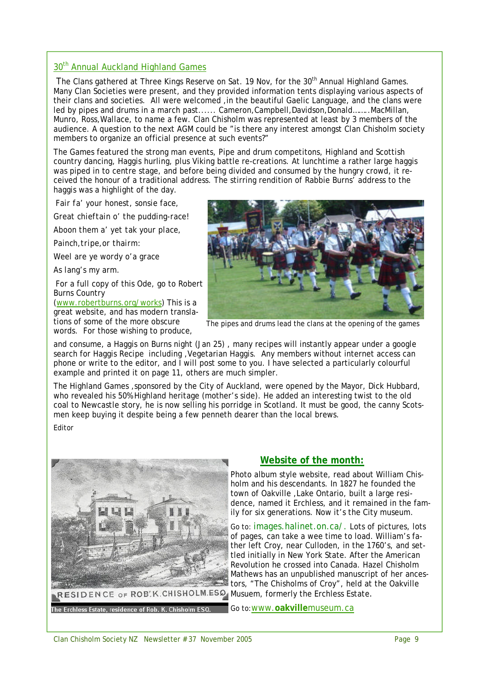#### 30<sup>th</sup> Annual Auckland Highland Games

The Clans gathered at Three Kings Reserve on Sat. 19 Nov, for the 30<sup>th</sup> Annual Highland Games. Many Clan Societies were present, and they provided information tents displaying various aspects of their clans and societies. All were welcomed ,in the beautiful Gaelic Language, and the clans were led by pipes and drums in a march past...... Cameron, Campbell, Davidson, Donald........ MacMillan, Munro, Ross,Wallace, to name a few. Clan Chisholm was represented at least by 3 members of the audience. A question to the next AGM could be "is there any interest amongst Clan Chisholm society members to organize an official presence at such events?"

The Games featured the strong man events, Pipe and drum competitons, Highland and Scottish country dancing, Haggis hurling, plus Viking battle re-creations. At lunchtime a rather large haggis was piped in to centre stage, and before being divided and consumed by the hungry crowd, it received the honour of a traditional address. The stirring rendition of Rabbie Burns' address to the haggis was a highlight of the day.

*Fair fa' your honest, sonsie face,*

*Great chieftain o' the pudding-race!*

*Aboon them a' yet tak your place,*

*Painch,tripe,or thairm:*

*Weel are ye wordy o'a grace*

*As lang's my arm.*

For a full copy of this Ode, go to Robert Burns Country (www.robertburns.org/works) This is a great website, and has modern transla-

tions of some of the more obscure words. For those wishing to produce,



The pipes and drums lead the clans at the opening of the games

and consume, a Haggis on Burns night (Jan 25) , many recipes will instantly appear under a google search for *Haggis Recipe* including ,Vegetarian Haggis. Any members without internet access can phone or write to the editor, and I will post some to you. I have selected a particularly colourful example and printed it on page 11, others are much simpler.

The Highland Games ,sponsored by the City of Auckland, were opened by the Mayor, Dick Hubbard, who revealed his 50% Highland heritage (mother's side). He added an interesting twist to the old coal to Newcastle story, he is now selling his porridge in Scotland. It must be good, the canny Scotsmen keep buying it despite being a few penneth dearer than the local brews.

#### Editor



### **Website of the month:**

Photo album style website, read about William Chisholm and his descendants. In 1827 he founded the town of Oakville ,Lake Ontario, built a large residence, named it Erchless, and it remained in the family for six generations. Now it's the City museum.

Go to: images.halinet.on.ca/. Lots of pictures, lots of pages, can take a wee time to load. William's father left Croy, near Culloden, in the 1760's, and settled initially in New York State. After the American Revolution he crossed into Canada. Hazel Chisholm Mathews has an unpublished manuscript of her ancestors, "The Chisholms of Croy", held at the Oakville

Go to:www.**oakville**museum.ca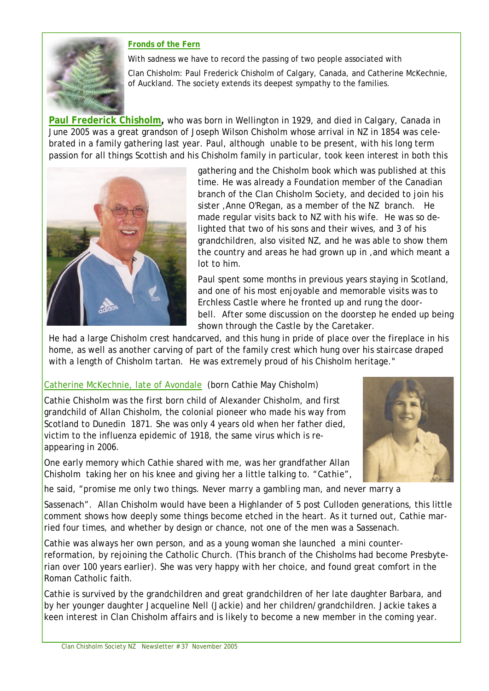



With sadness we have to record the passing of two people associated with

Clan Chisholm: Paul Frederick Chisholm of Calgary, Canada, and Catherine McKechnie, of Auckland. The society extends its deepest sympathy to the families.

**Paul Frederick Chisholm,** who was born in Wellington in 1929, and died in Calgary, Canada in June 2005 was a great grandson of Joseph Wilson Chisholm whose arrival in NZ in 1854 was celebrated in a family gathering last year. Paul, although unable to be present, with his long term passion for all things Scottish and his Chisholm family in particular, took keen interest in both this



gathering and the Chisholm book which was published at this time. He was already a Foundation member of the Canadian branch of the Clan Chisholm Society, and decided to join his sister ,Anne O'Regan, as a member of the NZ branch. He made regular visits back to NZ with his wife. He was so delighted that two of his sons and their wives, and 3 of his grandchildren, also visited NZ, and he was able to show them the country and areas he had grown up in ,and which meant a lot to him.

Paul spent some months in previous years staying in Scotland, and one of his most enjoyable and memorable visits was to Erchless Castle where he fronted up and rung the doorbell. After some discussion on the doorstep he ended up being shown through the Castle by the Caretaker.

He had a large Chisholm crest handcarved, and this hung in pride of place over the fireplace in his home, as well as another carving of part of the family crest which hung over his staircase draped with a length of Chisholm tartan. He was extremely proud of his Chisholm heritage."

# Catherine McKechnie, late of Avondale (born Cathie May Chisholm)

Cathie Chisholm was the first born child of Alexander Chisholm, and first grandchild of Allan Chisholm, the colonial pioneer who made his way from Scotland to Dunedin 1871. She was only 4 years old when her father died, victim to the influenza epidemic of 1918, the same virus which is reappearing in 2006.

One early memory which Cathie shared with me, was her grandfather Allan Chisholm taking her on his knee and giving her a little talking to. "*Cathie*",



he said, "*promise me only two things. Never marry a gambling man, and never marry a* 

*Sassenach*". Allan Chisholm would have been a Highlander of 5 post Culloden generations, this little comment shows how deeply some things become etched in the heart. As it turned out, Cathie married four times, and whether by design or chance, not one of the men was a Sassenach.

Cathie was always her own person, and as a young woman she launched a mini counterreformation, by rejoining the Catholic Church. (This branch of the Chisholms had become Presbyterian over 100 years earlier). She was very happy with her choice, and found great comfort in the Roman Catholic faith.

Cathie is survived by the grandchildren and great grandchildren of her late daughter Barbara, and by her younger daughter Jacqueline Nell (Jackie) and her children/grandchildren. Jackie takes a keen interest in Clan Chisholm affairs and is likely to become a new member in the coming year.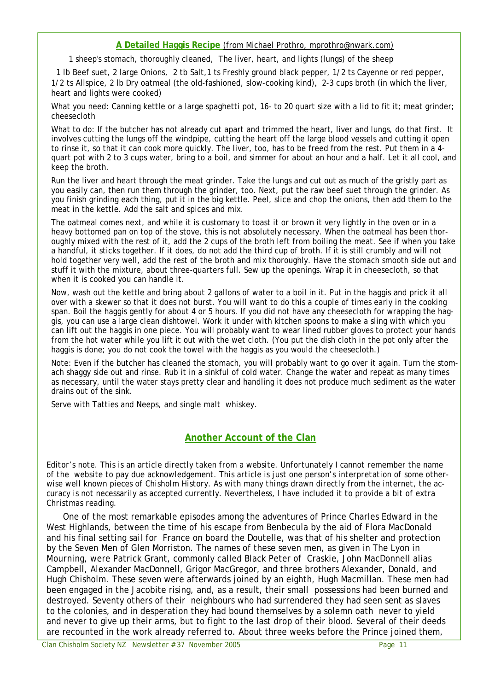#### **A Detailed Haggis Recipe** (from Michael Prothro, mprothro@nwark.com)

1 sheep's stomach, thoroughly cleaned, The liver, heart, and lights (lungs) of the sheep

1 lb Beef suet, 2 large Onions, 2 tb Salt,1 ts Freshly ground black pepper, 1/2 ts Cayenne or red pepper, 1/2 ts Allspice, 2 lb Dry oatmeal (the old-fashioned, slow-cooking kind), 2-3 cups broth (in which the liver, heart and lights were cooked)

What you need: Canning kettle or a large spaghetti pot, 16- to 20 quart size with a lid to fit it; meat grinder; cheesecloth

What to do: If the butcher has not already cut apart and trimmed the heart, liver and lungs, do that first. It involves cutting the lungs off the windpipe, cutting the heart off the large blood vessels and cutting it open to rinse it, so that it can cook more quickly. The liver, too, has to be freed from the rest. Put them in a 4 quart pot with 2 to 3 cups water, bring to a boil, and simmer for about an hour and a half. Let it all cool, and keep the broth.

Run the liver and heart through the meat grinder. Take the lungs and cut out as much of the gristly part as you easily can, then run them through the grinder, too. Next, put the raw beef suet through the grinder. As you finish grinding each thing, put it in the big kettle. Peel, slice and chop the onions, then add them to the meat in the kettle. Add the salt and spices and mix.

The oatmeal comes next, and while it is customary to toast it or brown it very lightly in the oven or in a heavy bottomed pan on top of the stove, this is not absolutely necessary. When the oatmeal has been thoroughly mixed with the rest of it, add the 2 cups of the broth left from boiling the meat. See if when you take a handful, it sticks together. If it does, do not add the third cup of broth. If it is still crumbly and will not hold together very well, add the rest of the broth and mix thoroughly. Have the stomach smooth side out and stuff it with the mixture, about three-quarters full. Sew up the openings. Wrap it in cheesecloth, so that when it is cooked you can handle it.

Now, wash out the kettle and bring about 2 gallons of water to a boil in it. Put in the haggis and prick it all over with a skewer so that it does not burst. You will want to do this a couple of times early in the cooking span. Boil the haggis gently for about 4 or 5 hours. If you did not have any cheesecloth for wrapping the haggis, you can use a large clean dishtowel. Work it under with kitchen spoons to make a sling with which you can lift out the haggis in one piece. You will probably want to wear lined rubber gloves to protect your hands from the hot water while you lift it out with the wet cloth. (You put the dish cloth in the pot only after the haggis is done; you do not cook the towel with the haggis as you would the cheesecloth.)

Note: Even if the butcher has cleaned the stomach, you will probably want to go over it again. Turn the stomach shaggy side out and rinse. Rub it in a sinkful of cold water. Change the water and repeat as many times as necessary, until the water stays pretty clear and handling it does not produce much sediment as the water drains out of the sink.

Serve with Tatties and Neeps, and single malt whiskey.

### **Another Account of the Clan**

*Editor's note. This is an article directly taken from a website. Unfortunately I cannot remember the name of the website to pay due acknowledgement. This article is just one person's interpretation of some otherwise well known pieces of Chisholm History. As with many things drawn directly from the internet, the accuracy is not necessarily as accepted currently. Nevertheless, I have included it to provide a bit of extra Christmas reading.*

One of the most remarkable episodes among the adventures of Prince Charles Edward in the West Highlands, between the time of his escape from Benbecula by the aid of Flora MacDonald and his final setting sail for France on board the Doutelle, was that of his shelter and protection by the Seven Men of Glen Morriston. The names of these seven men, as given in *The Lyon in Mourning*, were Patrick Grant, commonly called Black Peter of Craskie, John MacDonnell alias Campbell, Alexander MacDonnell, Grigor MacGregor, and three brothers Alexander, Donald, and Hugh Chisholm. These seven were afterwards joined by an eighth, Hugh Macmillan. These men had been engaged in the Jacobite rising, and, as a result, their small possessions had been burned and destroyed. Seventy others of their neighbours who had surrendered they had seen sent as slaves to the colonies, and in desperation they had bound themselves by a solemn oath never to yield and never to give up their arms, but to fight to the last drop of their blood. Several of their deeds are recounted in the work already referred to. About three weeks before the Prince joined them,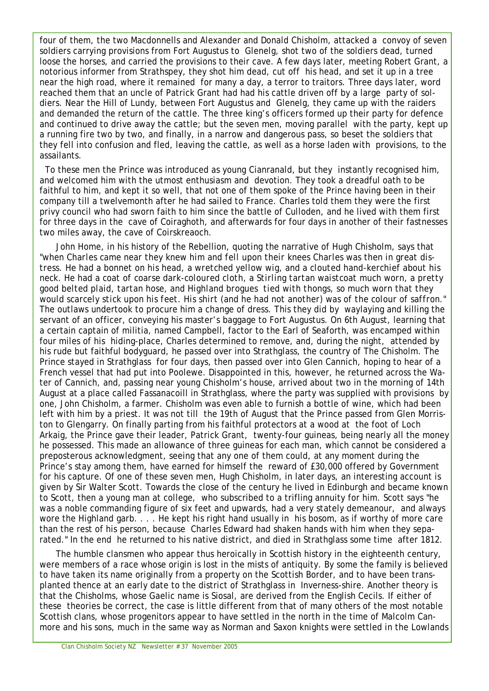four of them, the two Macdonnells and Alexander and Donald Chisholm, attacked a convoy of seven soldiers carrying provisions from Fort Augustus to Glenelg, shot two of the soldiers dead, turned loose the horses, and carried the provisions to their cave. A few days later, meeting Robert Grant, a notorious informer from Strathspey, they shot him dead, cut off his head, and set it up in a tree near the high road, where it remained for many a day, a terror to traitors. Three days later, word reached them that an uncle of Patrick Grant had had his cattle driven off by a large party of soldiers. Near the Hill of Lundy, between Fort Augustus and Glenelg, they came up with the raiders and demanded the return of the cattle. The three king's officers formed up their party for defence and continued to drive away the cattle; but the seven men, moving parallel with the party, kept up a running fire two by two, and finally, in a narrow and dangerous pass, so beset the soldiers that they fell into confusion and fled, leaving the cattle, as well as a horse laden with provisions, to the assailants.

To these men the Prince was introduced as young Cianranald, but they instantly recognised him, and welcomed him with the utmost enthusiasm and devotion. They took a dreadful oath to be faithful to him, and kept it so well, that not one of them spoke of the Prince having been in their company till a twelvemonth after he had sailed to France. Charles told them they were the first privy council who had sworn faith to him since the battle of Culloden, and he lived with them first for three days in the cave of Coiraghoth, and afterwards for four days in another of their fastnesses two miles away, the cave of Coirskreaoch.

John Home, in his history of the Rebellion, quoting the narrative of Hugh Chisholm, says that *"when Charles came near they knew him and fell upon their knees Charles was then in great distress. He had a bonnet on his head, a wretched yellow wig, and a clouted hand-kerchief about his neck. He had a coat of coarse dark-coloured cloth, a Stirling tartan waistcoat much worn, a pretty good belted plaid, tartan hose, and Highland brogues tied with thongs, so much worn that they would scarcely stick upon his feet. His shirt (and he had not another) was of the colour of saffron*." The outlaws undertook to procure him a change of dress. This they did by waylaying and killing the servant of an officer, conveying his master's baggage to Fort Augustus. On 6th August, learning that a certain captain of militia, named Campbell, factor to the Earl of Seaforth, was encamped within four miles of his hiding-place, Charles determined to remove, and, during the night, attended by his rude but faithful bodyguard, he passed over into Strathglass, the country of The Chisholm. The Prince stayed in Strathglass for four days, then passed over into Glen Cannich, hoping to hear of a French vessel that had put into Poolewe. Disappointed in this, however, he returned across the Water of Cannich, and, passing near young Chisholm's house, arrived about two in the morning of 14th August at a place called Fassanacoill in Strathglass, where the party was supplied with provisions by one, John Chisholm, a farmer. Chisholm was even able to furnish a bottle of wine, which had been left with him by a priest. It was not till the 19th of August that the Prince passed from Glen Morriston to Glengarry. On finally parting from his faithful protectors at a wood at the foot of Loch Arkaig, the Prince gave their leader, Patrick Grant, twenty-four guineas, being nearly all the money he possessed. This made an allowance of three guineas for each man, which cannot be considered a preposterous acknowledgment, seeing that any one of them could, at any moment during the Prince's stay among them, have earned for himself the reward of £30,000 offered by Government for his capture. Of one of these seven men, Hugh Chisholm, in later days, an interesting account is given by Sir Walter Scott. Towards the close of the century he lived in Edinburgh and became known to Scott, then a young man at college, who subscribed to a trifling annuity for him. Scott says "he was a noble commanding figure of six feet and upwards, had a very stately demeanour, and always wore the Highland garb. . . . He kept his right hand usually in his bosom, as if worthy of more care than the rest of his person, because Charles Edward had shaken hands with him when they separated." In the end he returned to his native district, and died in Strathglass some time after 1812.

The humble clansmen who appear thus heroically in Scottish history in the eighteenth century, were members of a race whose origin is lost in the mists of antiquity. By some the family is believed to have taken its name originally from a property on the Scottish Border, and to have been transplanted thence at an early date to the district of Strathglass in Inverness-shire. Another theory is that the Chisholms, whose Gaelic name is Siosal, are derived from the English Cecils. If either of these theories be correct, the case is little different from that of many others of the most notable Scottish clans, whose progenitors appear to have settled in the north in the time of Malcolm Canmore and his sons, much in the same way as Norman and Saxon knights were settled in the Lowlands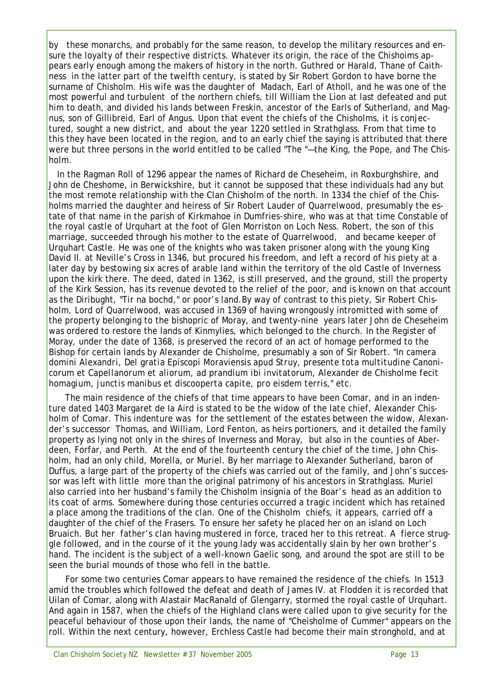by these monarchs, and probably for the same reason, to develop the military resources and ensure the loyalty of their respective districts. Whatever its origin, the race of the Chishoims appears early enough among the makers of history in the north. Guthred or Harald, Thane of Caithness in the latter part of the twelfth century, is stated by Sir Robert Gordon to have borne the surname of Chisholm. His wife was the daughter of Madach, Earl of Atholl, and he was one of the most powerful and turbulent of the northern chiefs, till William the Lion at last defeated and put him to death, and divided his lands between Freskin, ancestor of the Earls of Sutherland, and Magnus, son of Gillibreid, Earl of Angus. Upon that event the chiefs of the Chisholms, it is conjectured, sought a new district, and about the year 1220 settled in Strathglass. From that time to this they have been located in the region, and to an early chief the saying is attributed that there were but three persons in the world entitled to be called "The "—the King, the Pope, and The Chisholm.

In the Ragman Roll of 1296 appear the names of Richard de Cheseheim, in Roxburghshire, and John de Cheshome, in Berwickshire, but it cannot be supposed that these individuals had any but the most remote relationship with the Clan Chisholm of the north. In 1334 the chief of the Chisholms married the daughter and heiress of Sir Robert Lauder of Quarrelwood, presumably the estate of that name in the parish of Kirkmahoe in Dumfries-shire, who was at that time Constable of the royal castle of Urquhart at the foot of Glen Morriston on Loch Ness. Robert, the son of this marriage, succeeded through his mother to the estate of Quarrelwood, and became keeper of Urquhart Castle. He was one of the knights who was taken prisoner along with the young King David II. at Neville's Cross in 1346, but procured his freedom, and left a record of his piety at a later day by bestowing six acres of arable land within the territory of the old Castle of Inverness upon the kirk there. The deed, dated in 1362, is still preserved, and the ground, still the property of the Kirk Session, has its revenue devoted to the relief of the poor, and is known on that account as the Diribught, "Tir na bochd," or poor's land.By way of contrast to this piety, Sir Robert Chisholm, Lord of Quarrelwood, was accused in 1369 of having wrongously intromitted with some of the property belonging to the bishopric of Moray, and twenty-nine years later John de Cheseheim was ordered to restore the lands of Kinmylies, which belonged to the church. In the Register of Moray, under the date of 1368, is preserved the record of an act of homage performed to the Bishop for certain lands by Alexander de Chisholme, presumably a son of Sir Robert. "*In camera domini Alexandri, Del gratia Episcopi Moraviensis apud Struy, presente tota multitudine Canonicorum et Capellanorum et aliorum, ad prandium ibi invitatorum, Alexander de Chisholme fecit homagium, junctis manibus et discooperta capite, pro eisdem terris,"* etc.

The main residence of the chiefs of that time appears to have been Comar, and in an indenture dated 1403 Margaret de Ia Aird is stated to be the widow of the late chief, Alexander Chisholm of Comar. This indenture was for the settlement of the estates between the widow, Alexander's successor Thomas, and William, Lord Fenton, as heirs portioners, and it detailed the family property as lying not only in the shires of Inverness and Moray, but also in the counties of Aberdeen, Forfar, and Perth. At the end of the fourteenth century the chief of the time, John Chisholm, had an only child, Morella, or Muriel. By her marriage to Alexander Sutherland, baron of Duffus, a large part of the property of the chiefs was carried out of the family, and John's successor was left with little more than the original patrimony of his ancestors in Strathglass. Muriel also carried into her husband's family the Chisholm insignia of the Boar's head as an addition to its coat of arms. Somewhere during those centuries occurred a tragic incident which has retained a place among the traditions of the clan. One of the Chisholm chiefs, it appears, carried off a daughter of the chief of the Frasers. To ensure her safety he placed her on an island on Loch Bruaich. But her father's clan having mustered in force, traced her to this retreat. A fierce struggle followed, and in the course of it the young lady was accidentally slain by her own brother's hand. The incident is the subject of a well-known Gaelic song, and around the spot are still to be seen the burial mounds of those who fell in the battle.

For some two centuries Comar appears to have remained the residence of the chiefs. In 1513 amid the troubles which followed the defeat and death of James IV. at Flodden it is recorded that Uilan of Comar, along with Alastair MacRanald of Glengarry, stormed the royal castle of Urquhart. And again in 1587, when the chiefs of the Highland clans were called upon to give security for the peaceful behaviour of those upon their lands, the name of "Cheisholme of Cummer" appears on the roll. Within the next century, however, Erchless Castle had become their main stronghold, and at